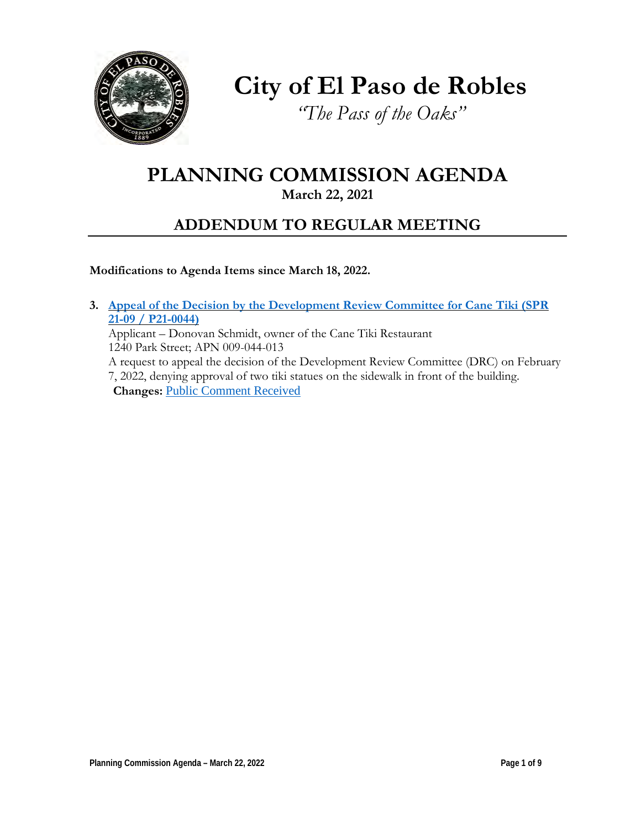

**City of El Paso de Robles**

*"The Pass of the Oaks"*

# **PLANNING COMMISSION AGENDA**

**March 22, 2021**

# **ADDENDUM TO REGULAR MEETING**

**Modifications to Agenda Items since March 18, 2022.**

**3. Appeal of the Decision by the [Development](https://www.prcity.com/DocumentCenter/View/33358/March-22-2022-Planning-Commission-Item-3-PDF) Review Committee for Cane Tiki (SPR [21-09 / P21-0044\)](https://www.prcity.com/DocumentCenter/View/33358/March-22-2022-Planning-Commission-Item-3-PDF)** Applicant – Donovan Schmidt, owner of the Cane Tiki Restaurant 1240 Park Street; APN 009-044-013 A request to appeal the decision of the Development Review Committee (DRC) on February

7, 2022, denying approval of two tiki statues on the sidewalk in front of the building. **Changes:** [Public Comment Received](https://www.prcity.com/DocumentCenter/View/33370/March-22-2022-Planning-Commission-Item-3-Amendment-PDF)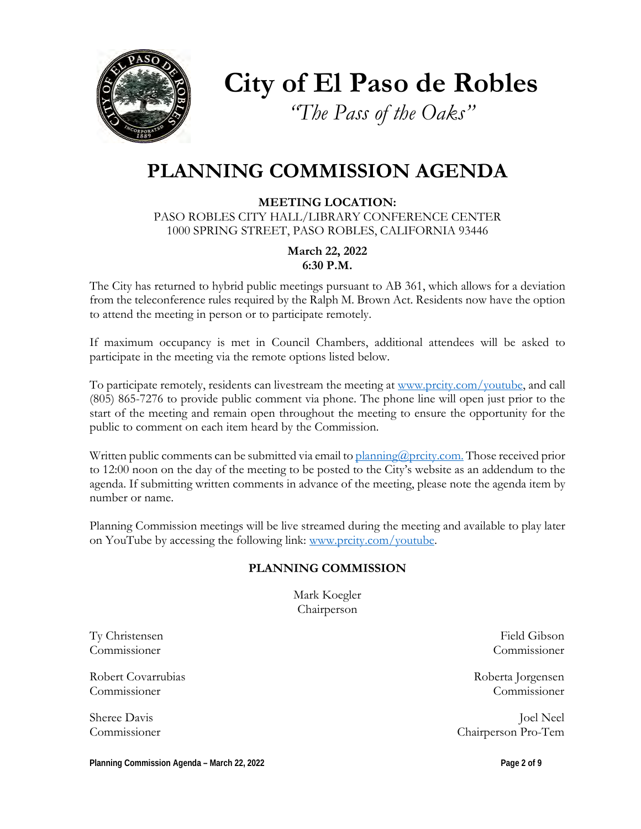

**City of El Paso de Robles**

*"The Pass of the Oaks"*

# **PLANNING COMMISSION AGENDA**

**MEETING LOCATION:** PASO ROBLES CITY HALL/LIBRARY CONFERENCE CENTER 1000 SPRING STREET, PASO ROBLES, CALIFORNIA 93446

> **March 22, 2022 6:30 P.M.**

The City has returned to hybrid public meetings pursuant to AB 361, which allows for a deviation from the teleconference rules required by the Ralph M. Brown Act. Residents now have the option to attend the meeting in person or to participate remotely.

If maximum occupancy is met in Council Chambers, additional attendees will be asked to participate in the meeting via the remote options listed below.

To participate remotely, residents can livestream the meeting at [www.prcity.com/youtube,](http://www.prcity.com/youtube) and call (805) 865-7276 to provide public comment via phone. The phone line will open just prior to the start of the meeting and remain open throughout the meeting to ensure the opportunity for the public to comment on each item heard by the Commission.

Written public comments can be submitted via email to [planning@prcity.com.](mailto:planning@prcity.com) Those received prior to 12:00 noon on the day of the meeting to be posted to the City's website as an addendum to the agenda. If submitting written comments in advance of the meeting, please note the agenda item by number or name.

Planning Commission meetings will be live streamed during the meeting and available to play later on YouTube by accessing the following link: [www.prcity.com/youtube.](http://www.prcity.com/youtube)

## **PLANNING COMMISSION**

Mark Koegler Chairperson

Ty Christensen Field Gibson Commissioner Commissioner

Robert Covarrubias and the covar and the covar and the covar and the covar and the covar and the covar and the covar and the covar and the covar and the covar and the covariance of the covariance of the covariance of the c Commissioner Commissioner

Sheree Davis Joel Neel Commissioner Chairperson Pro-Tem

**Planning Commission Agenda – March 22, 2022 Page 2 of 9**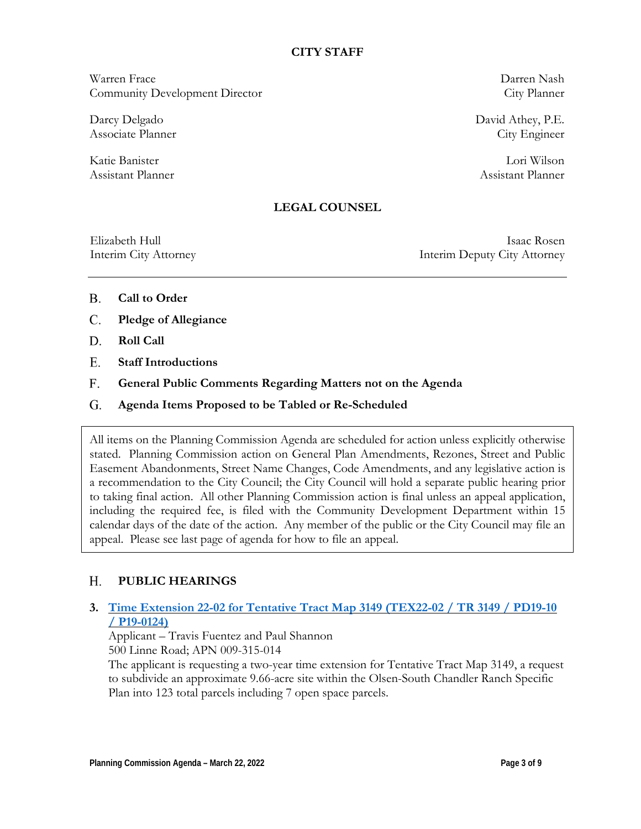### **CITY STAFF**

Warren Frace Darren Nash Community Development Director City Planner

Darcy Delgado David Athey, P.E. Associate Planner City Engineer

Katie Banister Lori Wilson Assistant Planner Assistant Planner

## **LEGAL COUNSEL**

Elizabeth Hull Isaac Rosen Interim City Attorney Interim Deputy City Attorney

- **Call to Order** B.
- **Pledge of Allegiance** C.
- **Roll Call**  D.
- **Staff Introductions** E.
- **General Public Comments Regarding Matters not on the Agenda** F.
- **Agenda Items Proposed to be Tabled or Re-Scheduled**  G.

All items on the Planning Commission Agenda are scheduled for action unless explicitly otherwise stated. Planning Commission action on General Plan Amendments, Rezones, Street and Public Easement Abandonments, Street Name Changes, Code Amendments, and any legislative action is a recommendation to the City Council; the City Council will hold a separate public hearing prior to taking final action. All other Planning Commission action is final unless an appeal application, including the required fee, is filed with the Community Development Department within 15 calendar days of the date of the action. Any member of the public or the City Council may file an appeal. Please see last page of agenda for how to file an appeal.

#### **PUBLIC HEARINGS**  H.

## **3. Time Extension 22-02 for Tentative Tract Map [3149 \(TEX22-02 / TR 3149 / PD19-10](https://www.prcity.com/DocumentCenter/View/33356/March-22-2022-Planning-Commission-Item-1-PDF)  [/ P19-0124\)](https://www.prcity.com/DocumentCenter/View/33356/March-22-2022-Planning-Commission-Item-1-PDF)**

Applicant – Travis Fuentez and Paul Shannon 500 Linne Road; APN 009-315-014

The applicant is requesting a two-year time extension for Tentative Tract Map 3149, a request to subdivide an approximate 9.66-acre site within the Olsen-South Chandler Ranch Specific Plan into 123 total parcels including 7 open space parcels.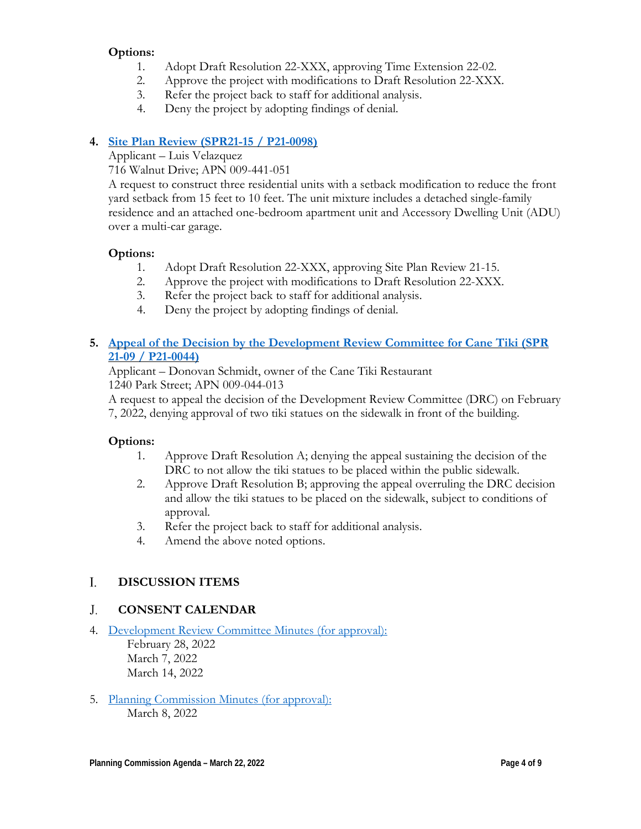# **Options:**

- 1. Adopt Draft Resolution 22-XXX, approving Time Extension 22-02.
- 2. Approve the project with modifications to Draft Resolution 22-XXX.
- 3. Refer the project back to staff for additional analysis.
- 4. Deny the project by adopting findings of denial.

# **4. Site Plan Review [\(SPR21-15 / P21-0098\)](https://www.prcity.com/DocumentCenter/View/33357/March-22-2022-Planning-Commission-Item-2-PDF)**

Applicant – Luis Velazquez

716 Walnut Drive; APN 009-441-051

A request to construct three residential units with a setback modification to reduce the front yard setback from 15 feet to 10 feet. The unit mixture includes a detached single-family residence and an attached one-bedroom apartment unit and Accessory Dwelling Unit (ADU) over a multi-car garage.

# **Options:**

- 1. Adopt Draft Resolution 22-XXX, approving Site Plan Review 21-15.
- 2. Approve the project with modifications to Draft Resolution 22-XXX.
- 3. Refer the project back to staff for additional analysis.
- 4. Deny the project by adopting findings of denial.

# **5. Appeal of the Decision by the [Development](https://www.prcity.com/DocumentCenter/View/33358/March-22-2022-Planning-Commission-Item-3-PDF) Review Committee for Cane Tiki (SPR [21-09 / P21-0044\)](https://www.prcity.com/DocumentCenter/View/33358/March-22-2022-Planning-Commission-Item-3-PDF)**

Applicant – Donovan Schmidt, owner of the Cane Tiki Restaurant 1240 Park Street; APN 009-044-013

A request to appeal the decision of the Development Review Committee (DRC) on February 7, 2022, denying approval of two tiki statues on the sidewalk in front of the building.

# **Options:**

- 1. Approve Draft Resolution A; denying the appeal sustaining the decision of the DRC to not allow the tiki statues to be placed within the public sidewalk.
- 2. Approve Draft Resolution B; approving the appeal overruling the DRC decision and allow the tiki statues to be placed on the sidewalk, subject to conditions of approval.
- 3. Refer the project back to staff for additional analysis.
- 4. Amend the above noted options.

#### **DISCUSSION ITEMS**  I.

#### **CONSENT CALENDAR** J.

4. Development Review [Committee Minutes \(for approval\):](https://www.prcity.com/DocumentCenter/View/33359/March-22-2022-Planning-Commission-Item-4-PDF)

February 28, 2022 March 7, 2022 March 14, 2022

5. [Planning Commission Minutes \(for approval\):](https://www.prcity.com/DocumentCenter/View/33360/March-22-2022-Planning-Commission-Item-5-PDF) March 8, 2022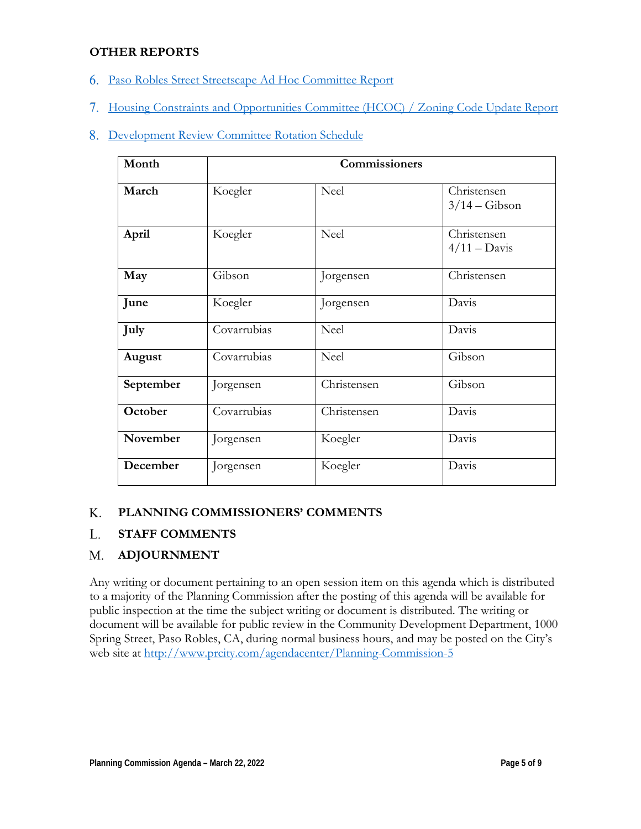## **OTHER REPORTS**

- 6. Paso Robles Street Streetscape Ad Hoc [Committee Report](https://www.prcity.com/DocumentCenter/View/33361/March-22-2022-Planning-Commission-Item-6-PDF)
- 7. [Housing Constraints and Opportunities Committee](https://www.prcity.com/DocumentCenter/View/33362/March-22-2022-Planning-Commission-Item-7-PDF) (HCOC) / Zoning Code Update Report

# 8. [Development Review](https://www.prcity.com/DocumentCenter/View/33363/March-22-2022-Planning-Commission-Item-8-PDF) Committee Rotation Schedule

| Month     |             | Commissioners |                                      |
|-----------|-------------|---------------|--------------------------------------|
| March     | Koegler     | <b>Neel</b>   | Christensen<br>$3/14 - Gibson$       |
| April     | Koegler     | <b>Neel</b>   | Christensen<br>$4/11 - \text{Davis}$ |
| May       | Gibson      | Jorgensen     | Christensen                          |
| June      | Koegler     | Jorgensen     | Davis                                |
| July      | Covarrubias | <b>Neel</b>   | Davis                                |
| August    | Covarrubias | <b>Neel</b>   | Gibson                               |
| September | Jorgensen   | Christensen   | Gibson                               |
| October   | Covarrubias | Christensen   | Davis                                |
| November  | Jorgensen   | Koegler       | Davis                                |
| December  | Jorgensen   | Koegler       | Davis                                |

#### **PLANNING COMMISSIONERS' COMMENTS** K.

#### **STAFF COMMENTS** L.

#### **ADJOURNMENT** M.

Any writing or document pertaining to an open session item on this agenda which is distributed to a majority of the Planning Commission after the posting of this agenda will be available for public inspection at the time the subject writing or document is distributed. The writing or document will be available for public review in the Community Development Department, 1000 Spring Street, Paso Robles, CA, during normal business hours, and may be posted on the City's web site at <http://www.prcity.com/agendacenter/Planning-Commission-5>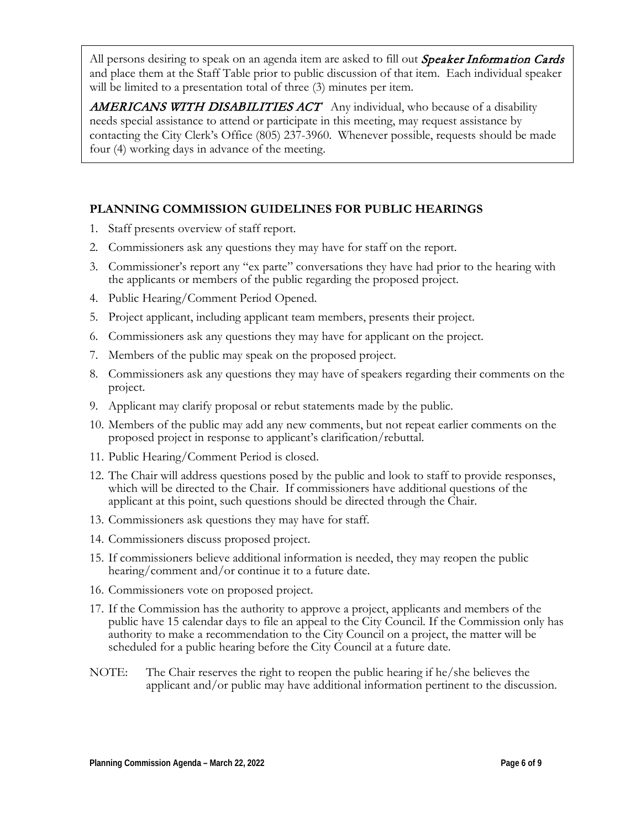All persons desiring to speak on an agenda item are asked to fill out *Speaker Information Cards* and place them at the Staff Table prior to public discussion of that item. Each individual speaker will be limited to a presentation total of three  $(3)$  minutes per item.

AMERICANS WITH DISABILITIES ACT Any individual, who because of a disability needs special assistance to attend or participate in this meeting, may request assistance by contacting the City Clerk's Office (805) 237-3960. Whenever possible, requests should be made four (4) working days in advance of the meeting.

# **PLANNING COMMISSION GUIDELINES FOR PUBLIC HEARINGS**

- 1. Staff presents overview of staff report.
- 2. Commissioners ask any questions they may have for staff on the report.
- 3. Commissioner's report any "ex parte" conversations they have had prior to the hearing with the applicants or members of the public regarding the proposed project.
- 4. Public Hearing/Comment Period Opened.
- 5. Project applicant, including applicant team members, presents their project.
- 6. Commissioners ask any questions they may have for applicant on the project.
- 7. Members of the public may speak on the proposed project.
- 8. Commissioners ask any questions they may have of speakers regarding their comments on the project.
- 9. Applicant may clarify proposal or rebut statements made by the public.
- 10. Members of the public may add any new comments, but not repeat earlier comments on the proposed project in response to applicant's clarification/rebuttal.
- 11. Public Hearing/Comment Period is closed.
- 12. The Chair will address questions posed by the public and look to staff to provide responses, which will be directed to the Chair. If commissioners have additional questions of the applicant at this point, such questions should be directed through the Chair.
- 13. Commissioners ask questions they may have for staff.
- 14. Commissioners discuss proposed project.
- 15. If commissioners believe additional information is needed, they may reopen the public hearing/comment and/or continue it to a future date.
- 16. Commissioners vote on proposed project.
- 17. If the Commission has the authority to approve a project, applicants and members of the public have 15 calendar days to file an appeal to the City Council. If the Commission only has authority to make a recommendation to the City Council on a project, the matter will be scheduled for a public hearing before the City Council at a future date.
- NOTE: The Chair reserves the right to reopen the public hearing if he/she believes the applicant and/or public may have additional information pertinent to the discussion.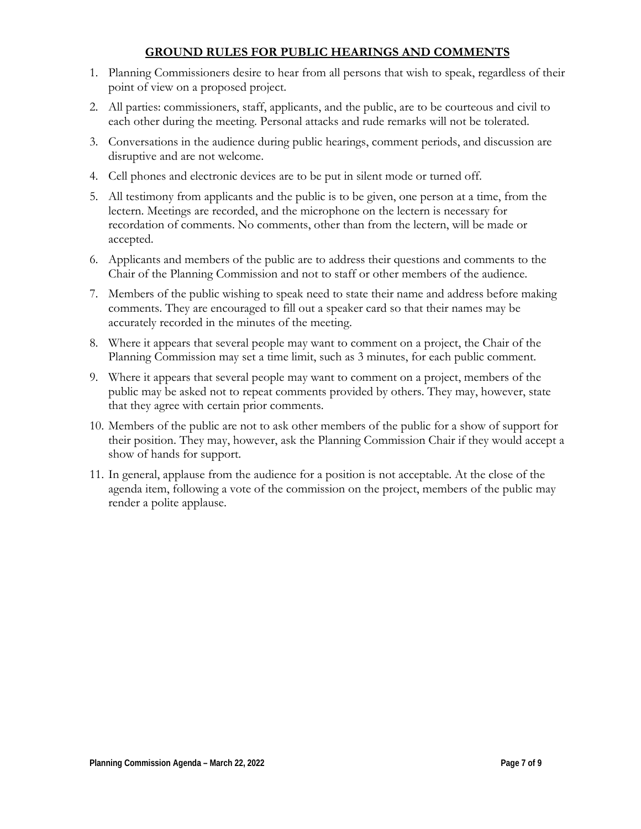## **GROUND RULES FOR PUBLIC HEARINGS AND COMMENTS**

- 1. Planning Commissioners desire to hear from all persons that wish to speak, regardless of their point of view on a proposed project.
- 2. All parties: commissioners, staff, applicants, and the public, are to be courteous and civil to each other during the meeting. Personal attacks and rude remarks will not be tolerated.
- 3. Conversations in the audience during public hearings, comment periods, and discussion are disruptive and are not welcome.
- 4. Cell phones and electronic devices are to be put in silent mode or turned off.
- 5. All testimony from applicants and the public is to be given, one person at a time, from the lectern. Meetings are recorded, and the microphone on the lectern is necessary for recordation of comments. No comments, other than from the lectern, will be made or accepted.
- 6. Applicants and members of the public are to address their questions and comments to the Chair of the Planning Commission and not to staff or other members of the audience.
- 7. Members of the public wishing to speak need to state their name and address before making comments. They are encouraged to fill out a speaker card so that their names may be accurately recorded in the minutes of the meeting.
- 8. Where it appears that several people may want to comment on a project, the Chair of the Planning Commission may set a time limit, such as 3 minutes, for each public comment.
- 9. Where it appears that several people may want to comment on a project, members of the public may be asked not to repeat comments provided by others. They may, however, state that they agree with certain prior comments.
- 10. Members of the public are not to ask other members of the public for a show of support for their position. They may, however, ask the Planning Commission Chair if they would accept a show of hands for support.
- 11. In general, applause from the audience for a position is not acceptable. At the close of the agenda item, following a vote of the commission on the project, members of the public may render a polite applause.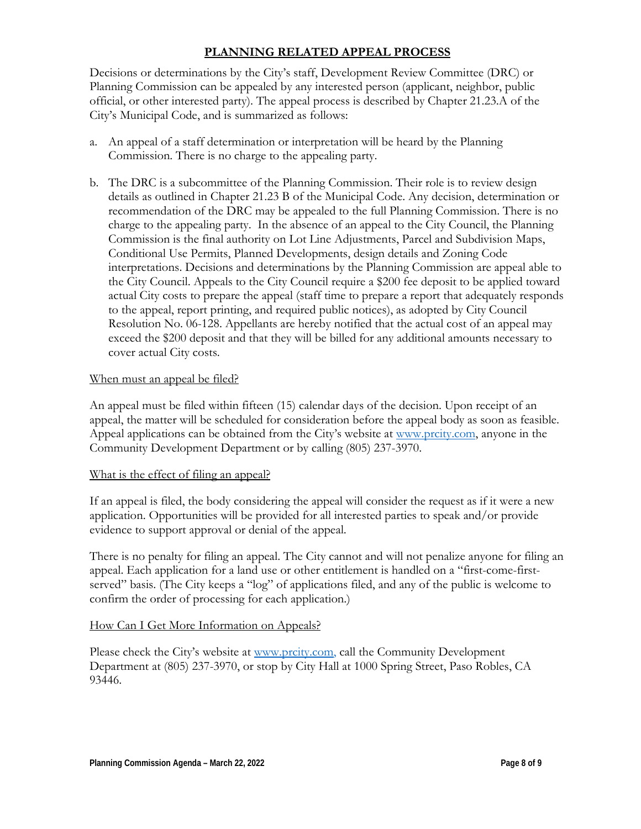# **PLANNING RELATED APPEAL PROCESS**

Decisions or determinations by the City's staff, Development Review Committee (DRC) or Planning Commission can be appealed by any interested person (applicant, neighbor, public official, or other interested party). The appeal process is described by Chapter 21.23.A of the City's Municipal Code, and is summarized as follows:

- a. An appeal of a staff determination or interpretation will be heard by the Planning Commission. There is no charge to the appealing party.
- b. The DRC is a subcommittee of the Planning Commission. Their role is to review design details as outlined in Chapter 21.23 B of the Municipal Code. Any decision, determination or recommendation of the DRC may be appealed to the full Planning Commission. There is no charge to the appealing party. In the absence of an appeal to the City Council, the Planning Commission is the final authority on Lot Line Adjustments, Parcel and Subdivision Maps, Conditional Use Permits, Planned Developments, design details and Zoning Code interpretations. Decisions and determinations by the Planning Commission are appeal able to the City Council. Appeals to the City Council require a \$200 fee deposit to be applied toward actual City costs to prepare the appeal (staff time to prepare a report that adequately responds to the appeal, report printing, and required public notices), as adopted by City Council Resolution No. 06-128. Appellants are hereby notified that the actual cost of an appeal may exceed the \$200 deposit and that they will be billed for any additional amounts necessary to cover actual City costs.

### When must an appeal be filed?

An appeal must be filed within fifteen (15) calendar days of the decision. Upon receipt of an appeal, the matter will be scheduled for consideration before the appeal body as soon as feasible. Appeal applications can be obtained from the City's website at [www.prcity.com,](http://www.prcity.com/) anyone in the Community Development Department or by calling (805) 237-3970.

### What is the effect of filing an appeal?

If an appeal is filed, the body considering the appeal will consider the request as if it were a new application. Opportunities will be provided for all interested parties to speak and/or provide evidence to support approval or denial of the appeal.

There is no penalty for filing an appeal. The City cannot and will not penalize anyone for filing an appeal. Each application for a land use or other entitlement is handled on a "first-come-firstserved" basis. (The City keeps a "log" of applications filed, and any of the public is welcome to confirm the order of processing for each application.)

### How Can I Get More Information on Appeals?

Please check the City's website at [www.prcity.com,](http://www.prcity.com/) call the Community Development Department at (805) 237-3970, or stop by City Hall at 1000 Spring Street, Paso Robles, CA 93446.